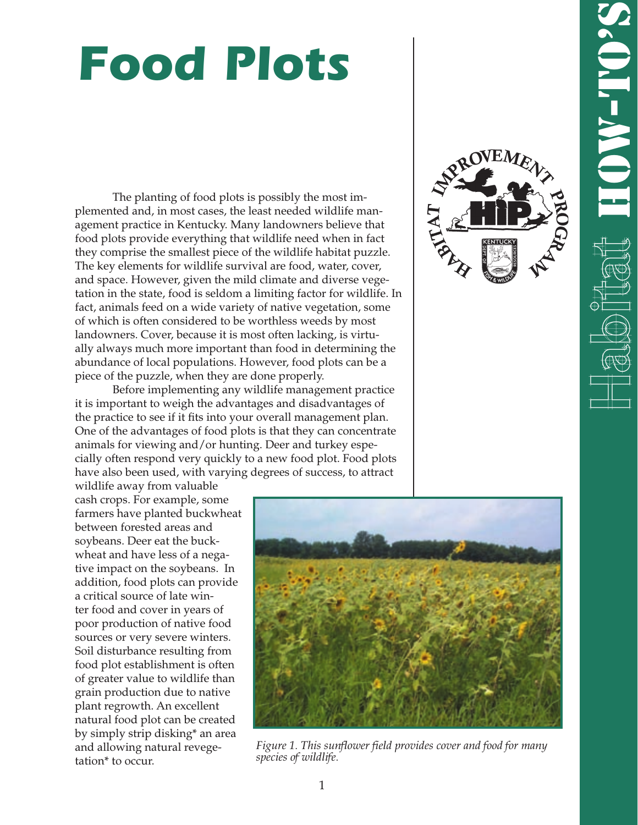# **Food Plots**

The planting of food plots is possibly the most implemented and, in most cases, the least needed wildlife management practice in Kentucky. Many landowners believe that food plots provide everything that wildlife need when in fact they comprise the smallest piece of the wildlife habitat puzzle. The key elements for wildlife survival are food, water, cover, and space. However, given the mild climate and diverse vegetation in the state, food is seldom a limiting factor for wildlife. In fact, animals feed on a wide variety of native vegetation, some of which is often considered to be worthless weeds by most landowners. Cover, because it is most often lacking, is virtually always much more important than food in determining the abundance of local populations. However, food plots can be a piece of the puzzle, when they are done properly.

Before implementing any wildlife management practice it is important to weigh the advantages and disadvantages of the practice to see if it fits into your overall management plan. One of the advantages of food plots is that they can concentrate animals for viewing and/or hunting. Deer and turkey especially often respond very quickly to a new food plot. Food plots have also been used, with varying degrees of success, to attract



wildlife away from valuable cash crops. For example, some farmers have planted buckwheat between forested areas and soybeans. Deer eat the buckwheat and have less of a negative impact on the soybeans. In addition, food plots can provide a critical source of late winter food and cover in years of poor production of native food sources or very severe winters. Soil disturbance resulting from food plot establishment is often of greater value to wildlife than grain production due to native plant regrowth. An excellent natural food plot can be created by simply strip disking\* an area and allowing natural revegetation\* to occur.



*Figure 1. This sunflower field provides cover and food for many species of wildlife.*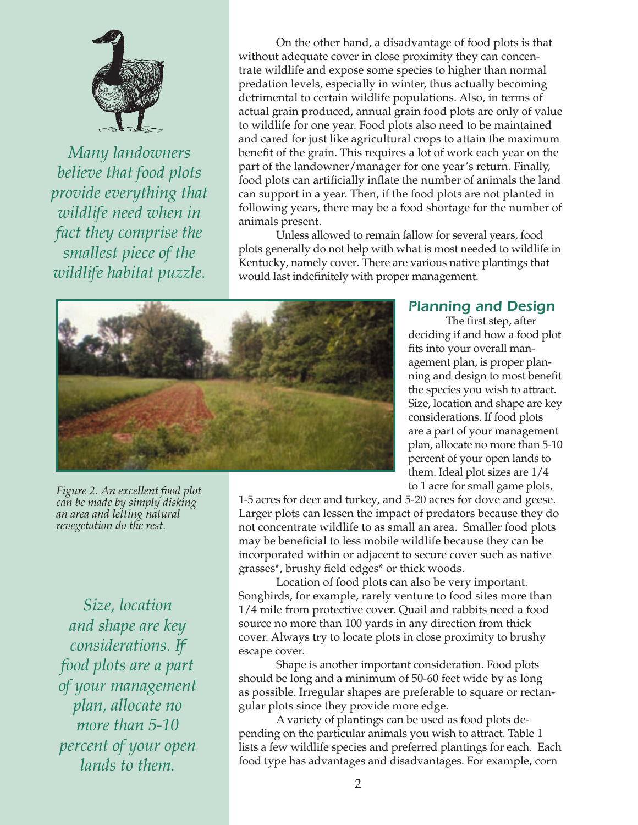

*Many landowners believe that food plots provide everything that wildlife need when in fact they comprise the smallest piece of the wildlife habitat puzzle.*

On the other hand, a disadvantage of food plots is that without adequate cover in close proximity they can concentrate wildlife and expose some species to higher than normal predation levels, especially in winter, thus actually becoming detrimental to certain wildlife populations. Also, in terms of actual grain produced, annual grain food plots are only of value to wildlife for one year. Food plots also need to be maintained and cared for just like agricultural crops to attain the maximum benefit of the grain. This requires a lot of work each year on the part of the landowner/manager for one year's return. Finally, food plots can artificially inflate the number of animals the land can support in a year. Then, if the food plots are not planted in following years, there may be a food shortage for the number of animals present.

Unless allowed to remain fallow for several years, food plots generally do not help with what is most needed to wildlife in Kentucky, namely cover. There are various native plantings that would last indefinitely with proper management.



## Planning and Design

The first step, after deciding if and how a food plot fits into your overall management plan, is proper planning and design to most benefit the species you wish to attract. Size, location and shape are key considerations. If food plots are a part of your management plan, allocate no more than 5-10 percent of your open lands to them. Ideal plot sizes are 1/4 to 1 acre for small game plots,

*Figure 2. An excellent food plot can be made by simply disking an area and letting natural revegetation do the rest.*

*Size, location and shape are key considerations. If food plots are a part of your management plan, allocate no more than 5-10 percent of your open lands to them.*

1-5 acres for deer and turkey, and 5-20 acres for dove and geese. Larger plots can lessen the impact of predators because they do not concentrate wildlife to as small an area. Smaller food plots may be beneficial to less mobile wildlife because they can be incorporated within or adjacent to secure cover such as native grasses\*, brushy field edges\* or thick woods.

Location of food plots can also be very important. Songbirds, for example, rarely venture to food sites more than 1/4 mile from protective cover. Quail and rabbits need a food source no more than 100 yards in any direction from thick cover. Always try to locate plots in close proximity to brushy escape cover.

Shape is another important consideration. Food plots should be long and a minimum of 50-60 feet wide by as long as possible. Irregular shapes are preferable to square or rectangular plots since they provide more edge.

A variety of plantings can be used as food plots depending on the particular animals you wish to attract. Table 1 lists a few wildlife species and preferred plantings for each. Each food type has advantages and disadvantages. For example, corn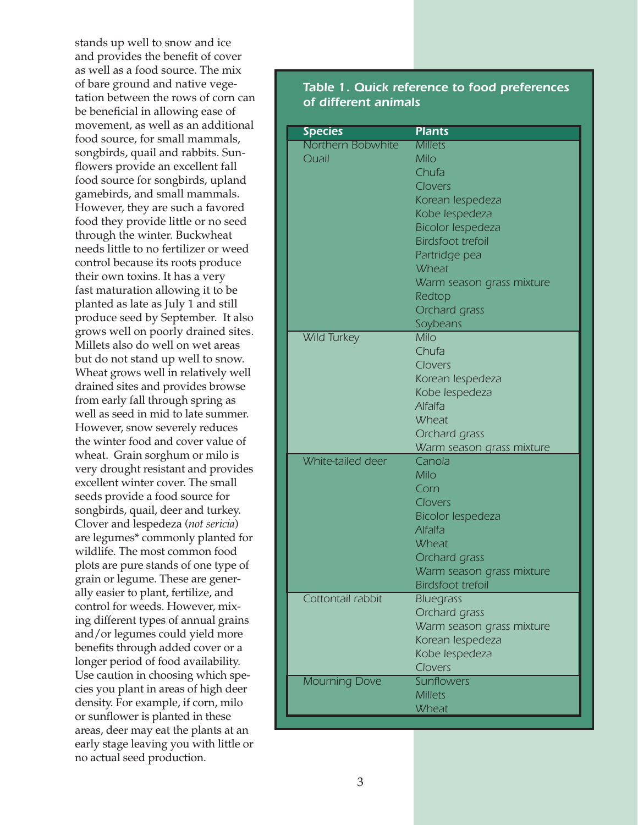stands up well to snow and ice and provides the benefit of cover as well as a food source. The mix of bare ground and native vegetation between the rows of corn can be beneficial in allowing ease of movement, as well as an additional food source, for small mammals, songbirds, quail and rabbits. Sunflowers provide an excellent fall food source for songbirds, upland gamebirds, and small mammals. However, they are such a favored food they provide little or no seed through the winter. Buckwheat needs little to no fertilizer or weed control because its roots produce their own toxins. It has a very fast maturation allowing it to be planted as late as July 1 and still produce seed by September. It also grows well on poorly drained sites. Millets also do well on wet areas but do not stand up well to snow. Wheat grows well in relatively well drained sites and provides browse from early fall through spring as well as seed in mid to late summer. However, snow severely reduces the winter food and cover value of wheat. Grain sorghum or milo is very drought resistant and provides excellent winter cover. The small seeds provide a food source for songbirds, quail, deer and turkey. Clover and lespedeza (*not sericia*) are legumes\* commonly planted for wildlife. The most common food plots are pure stands of one type of grain or legume. These are generally easier to plant, fertilize, and control for weeds. However, mixing different types of annual grains and/or legumes could yield more benefits through added cover or a longer period of food availability. Use caution in choosing which species you plant in areas of high deer density. For example, if corn, milo or sunflower is planted in these areas, deer may eat the plants at an early stage leaving you with little or no actual seed production.

#### Table 1. Quick reference to food preferences of different animals

| <b>Species</b>             | <b>Plants</b>                    |
|----------------------------|----------------------------------|
| Northern Bobwhite<br>Quail | <b>Millets</b><br>Milo           |
|                            | Chufa                            |
|                            | Clovers                          |
|                            | Korean lespedeza                 |
|                            | Kobe lespedeza                   |
|                            | <b>Bicolor lespedeza</b>         |
|                            | <b>Birdsfoot trefoil</b>         |
|                            | Partridge pea                    |
|                            | <b>Wheat</b>                     |
|                            | Warm season grass mixture        |
|                            | Redtop                           |
|                            | Orchard grass                    |
|                            | Soybeans                         |
| <b>Wild Turkey</b>         | <b>Milo</b>                      |
|                            | Chufa                            |
|                            | Clovers                          |
|                            | Korean lespedeza                 |
|                            | Kobe lespedeza<br><b>Alfalfa</b> |
|                            | <b>Wheat</b>                     |
|                            | Orchard grass                    |
|                            | Warm season grass mixture        |
| White-tailed deer          | Canola                           |
|                            | Milo                             |
|                            | Corn                             |
|                            | Clovers                          |
|                            | <b>Bicolor lespedeza</b>         |
|                            | <b>Alfalfa</b>                   |
|                            | <b>Wheat</b>                     |
|                            | Orchard grass                    |
|                            | Warm season grass mixture        |
|                            | <b>Birdsfoot trefoil</b>         |
| Cottontail rabbit          | <b>Bluegrass</b>                 |
|                            | Orchard grass                    |
|                            | Warm season grass mixture        |
|                            | Korean lespedeza                 |
|                            | Kobe lespedeza<br>Clovers        |
| <b>Mourning Dove</b>       | Sunflowers                       |
|                            | <b>Millets</b>                   |
|                            | <b>Wheat</b>                     |
|                            |                                  |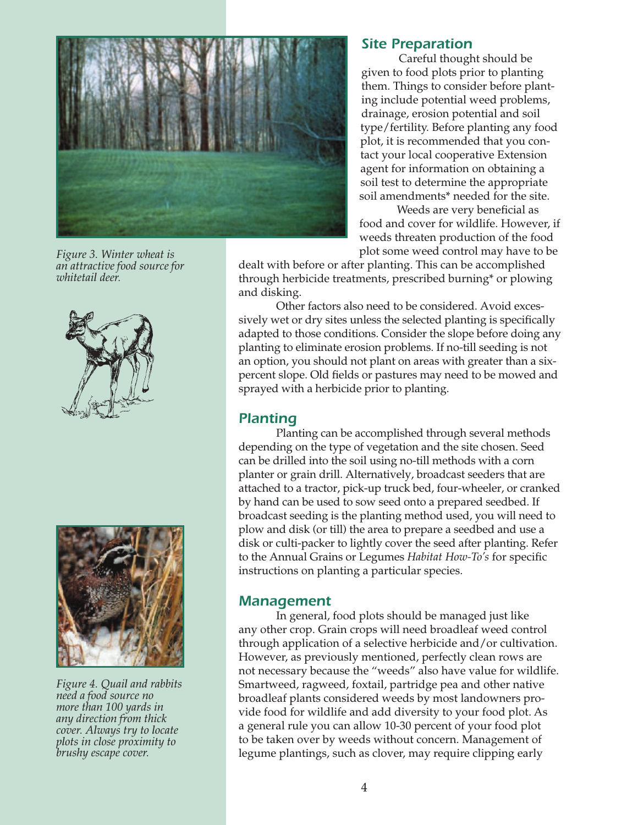

*Figure 3. Winter wheat is an attractive food source for whitetail deer.*





*Figure 4. Quail and rabbits need a food source no more than 100 yards in any direction from thick cover. Always try to locate plots in close proximity to brushy escape cover.*

#### Site Preparation

Careful thought should be given to food plots prior to planting them. Things to consider before planting include potential weed problems, drainage, erosion potential and soil type/fertility. Before planting any food plot, it is recommended that you contact your local cooperative Extension agent for information on obtaining a soil test to determine the appropriate soil amendments\* needed for the site.

Weeds are very beneficial as food and cover for wildlife. However, if weeds threaten production of the food plot some weed control may have to be

dealt with before or after planting. This can be accomplished through herbicide treatments, prescribed burning\* or plowing and disking.

Other factors also need to be considered. Avoid excessively wet or dry sites unless the selected planting is specifically adapted to those conditions. Consider the slope before doing any planting to eliminate erosion problems. If no-till seeding is not an option, you should not plant on areas with greater than a sixpercent slope. Old fields or pastures may need to be mowed and sprayed with a herbicide prior to planting.

#### Planting

Planting can be accomplished through several methods depending on the type of vegetation and the site chosen. Seed can be drilled into the soil using no-till methods with a corn planter or grain drill. Alternatively, broadcast seeders that are attached to a tractor, pick-up truck bed, four-wheeler, or cranked by hand can be used to sow seed onto a prepared seedbed. If broadcast seeding is the planting method used, you will need to plow and disk (or till) the area to prepare a seedbed and use a disk or culti-packer to lightly cover the seed after planting. Refer to the Annual Grains or Legumes *Habitat How-To's* for specific instructions on planting a particular species.

#### Management

In general, food plots should be managed just like any other crop. Grain crops will need broadleaf weed control through application of a selective herbicide and/or cultivation. However, as previously mentioned, perfectly clean rows are not necessary because the "weeds" also have value for wildlife. Smartweed, ragweed, foxtail, partridge pea and other native broadleaf plants considered weeds by most landowners provide food for wildlife and add diversity to your food plot. As a general rule you can allow 10-30 percent of your food plot to be taken over by weeds without concern. Management of legume plantings, such as clover, may require clipping early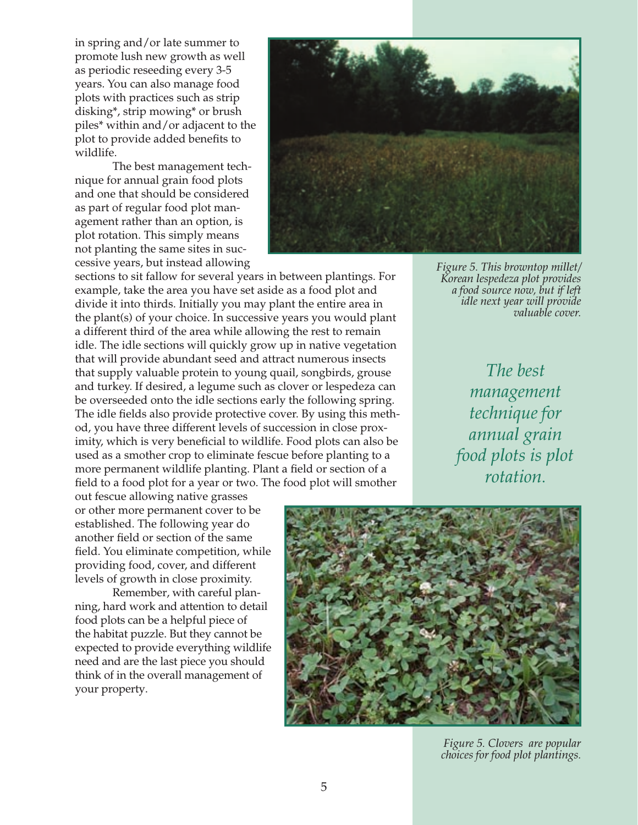in spring and/or late summer to promote lush new growth as well as periodic reseeding every 3-5 years. You can also manage food plots with practices such as strip disking\*, strip mowing\* or brush piles\* within and/or adjacent to the plot to provide added benefits to wildlife.

The best management technique for annual grain food plots and one that should be considered as part of regular food plot management rather than an option, is plot rotation. This simply means not planting the same sites in successive years, but instead allowing



sections to sit fallow for several years in between plantings. For example, take the area you have set aside as a food plot and divide it into thirds. Initially you may plant the entire area in the plant(s) of your choice. In successive years you would plant a different third of the area while allowing the rest to remain idle. The idle sections will quickly grow up in native vegetation that will provide abundant seed and attract numerous insects that supply valuable protein to young quail, songbirds, grouse and turkey. If desired, a legume such as clover or lespedeza can be overseeded onto the idle sections early the following spring. The idle fields also provide protective cover. By using this method, you have three different levels of succession in close proximity, which is very beneficial to wildlife. Food plots can also be used as a smother crop to eliminate fescue before planting to a more permanent wildlife planting. Plant a field or section of a field to a food plot for a year or two. The food plot will smother

*Figure 5. This browntop millet/ Korean lespedeza plot provides a food source now, but if left idle next year will provide valuable cover.*

> *The best management technique for annual grain food plots is plot rotation.*

out fescue allowing native grasses or other more permanent cover to be established. The following year do another field or section of the same field. You eliminate competition, while providing food, cover, and different levels of growth in close proximity.

Remember, with careful planning, hard work and attention to detail food plots can be a helpful piece of the habitat puzzle. But they cannot be expected to provide everything wildlife need and are the last piece you should think of in the overall management of your property.



*Figure 5. Clovers are popular choices for food plot plantings.*